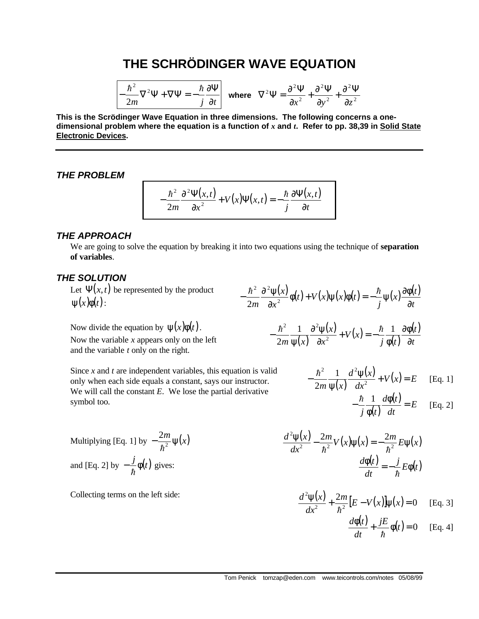# **THE SCHRÖDINGER WAVE EQUATION**

$$
-\frac{\hbar^2}{2m}\nabla^2\Psi + \nabla\Psi = -\frac{\hbar}{j}\frac{\partial\Psi}{\partial t}\left[\text{ where }\nabla^2\Psi = \frac{\partial^2\Psi}{\partial x^2} + \frac{\partial^2\Psi}{\partial y^2} + \frac{\partial^2\Psi}{\partial z^2}\right]
$$

**This is the Scrödinger Wave Equation in three dimensions. The following concerns a onedimensional problem where the equation is a function of** *x* **and** *t***. Refer to pp. 38,39 in Solid State Electronic Devices.**

#### *THE PROBLEM*

$$
-\frac{\hbar^2}{2m}\frac{\partial^2 \Psi(x,t)}{\partial x^2} + V(x)\Psi(x,t) = -\frac{\hbar}{j}\frac{\partial \Psi(x,t)}{\partial t}
$$

#### *THE APPROACH*

We are going to solve the equation by breaking it into two equations using the technique of **separation of variables**.

−

#### *THE SOLUTION*

Let  $\Psi(x,t)$  be represented by the product  $\psi(x)\phi(t)$ :

Now divide the equation by  $\psi(x)\phi(t)$ . Now the variable *x* appears only on the left

and the variable *t* only on the right.

$$
\frac{\hbar^2}{2m} \frac{\partial^2 \psi(x)}{\partial x^2} \phi(t) + V(x) \psi(x) \phi(t) = -\frac{\hbar}{j} \psi(x) \frac{\partial \phi(t)}{\partial t}
$$

$$
-\frac{\hbar^2}{2m}\frac{1}{\Psi(x)}\frac{\partial^2\Psi(x)}{\partial x^2} + V(x) = -\frac{\hbar}{j}\frac{1}{\Phi(t)}\frac{\partial\Phi(t)}{\partial t}
$$

Since *x* and *t* are independent variables, this equation is valid only when each side equals a constant, says our instructor. We will call the constant *E*. We lose the partial derivative symbol too.

$$
-\frac{\hbar^2}{2m}\frac{1}{\psi(x)}\frac{d^2\psi(x)}{dx^2} + V(x) = E \quad \text{[Eq. 1]}
$$

$$
-\frac{\hbar}{j}\frac{1}{\phi(t)}\frac{d\phi(t)}{dt} = E \quad \text{[Eq. 2]}
$$

Multiplying [Eq. 1] by 
$$
-\frac{2m}{\hbar^2}\psi(x)
$$
  
and [Eq. 2] by  $-\frac{j}{\hbar}\phi(t)$  gives:

Collecting terms on the left side:

$$
\frac{d^2\psi(x)}{dx^2} - \frac{2m}{\hbar^2}V(x)\psi(x) = -\frac{2m}{\hbar^2}E\psi(x)
$$

$$
\frac{d\phi(t)}{dt} = -\frac{j}{\hbar}E\phi(t)
$$

$$
\frac{d^2 \psi(x)}{dx^2} + \frac{2m}{\hbar^2} [E - V(x)] \psi(x) = 0
$$
 [Eq. 3]

$$
\frac{d\phi(t)}{dt} + \frac{jE}{\hbar}\phi(t) = 0 \quad \text{[Eq. 4]}
$$